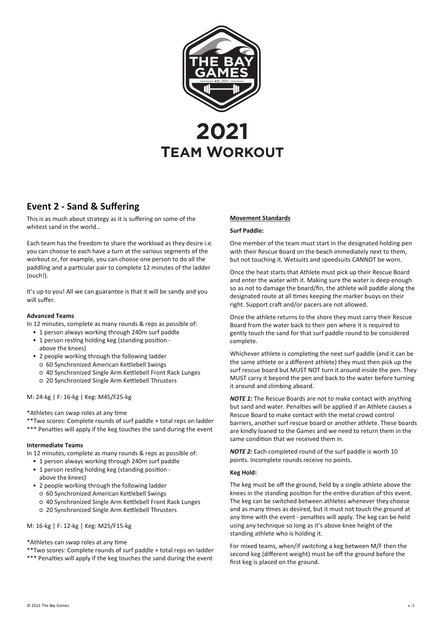

# **Event 2 - Sand & Suffering**

This is as much about strategy as it is suffering on some of the whitest sand in the world…

Each team has the freedom to share the workload as they desire i.e. you can choose to each have a turn at the various segments of the workout or, for example, you can choose one person to do all the paddling and a particular pair to complete 12 minutes of the ladder (ouch!).

It's up to you! All we can guarantee is that it will be sandy and you will suffer.

### **Advanced Teams**

In 12 minutes, complete as many rounds & reps as possible of:

- 1 person always working through 240m surf paddle
- 1 person resting holding keg (standing position above the knees)
- 2 people working through the following ladder
- 60 Synchronized American Kettlebell Swings
- 40 Synchronized Single Arm Kettlebell Front Rack Lunges
- 20 Synchronized Single Arm Kettlebell Thrusters

# M: 24-kg | F: 16-kg | Keg: M45/F25-kg

\*Athletes can swap roles at any time

\*\*Two scores: Complete rounds of surf paddle + total reps on ladder \*\*\* Penalties will apply if the keg touches the sand during the event

# **Intermediate Teams**

In 12 minutes, complete as many rounds & reps as possible of:

- 1 person always working through 240m surf paddle • 1 person resting holding keg (standing position -
- above the knees)
- 2 people working through the following ladder ○ 60 Synchronized American Kettlebell Swings
	- 40 Synchronized Single Arm Kettlebell Front Rack Lunges
	- 20 Synchronized Single Arm Kettlebell Thrusters

## M: 16-kg | F: 12-kg | Keg: M25/F15-kg

## \*Athletes can swap roles at any time

\*\*Two scores: Complete rounds of surf paddle + total reps on ladder \*\*\* Penalties will apply if the keg touches the sand during the event

# **Movement Standards**

#### **Surf Paddle:**

One member of the team must start in the designated holding pen with their Rescue Board on the beach immediately next to them, but not touching it. Wetsuits and speedsuits CANNOT be worn.

Once the heat starts that Athlete must pick up their Rescue Board and enter the water with it. Making sure the water is deep enough so as not to damage the board/fin, the athlete will paddle along the designated route at all times keeping the marker buoys on their right. Support craft and/or pacers are not allowed.

Once the athlete returns to the shore they must carry their Rescue Board from the water back to their pen where it is required to gently touch the sand for that surf paddle round to be considered complete.

Whichever athlete is completing the next surf paddle (and it can be the same athlete or a different athlete) they must then pick up the surf rescue board but MUST NOT turn it around inside the pen. They MUST carry it beyond the pen and back to the water before turning it around and climbing aboard.

*NOTE 1:* The Rescue Boards are not to make contact with anything but sand and water. Penalties will be applied if an Athlete causes a Rescue Board to make contact with the metal crowd control barriers, another surf rescue board or another athlete. These boards are kindly loaned to the Games and we need to return them in the same condition that we received them in.

*NOTE 2:* Each completed round of the surf paddle is worth 10 points. Incomplete rounds receive no points.

# **Keg Hold:**

The keg must be off the ground, held by a single athlete above the knees in the standing position for the entire duration of this event. The keg can be switched between athletes whenever they choose and as many times as desired, but it must not touch the ground at any time with the event - penalties will apply. The keg can be held using any technique so long as it's above knee height of the standing athlete who is holding it.

For mixed teams, when/if switching a keg between M/F then the second keg (different weight) must be off the ground before the first keg is placed on the ground.